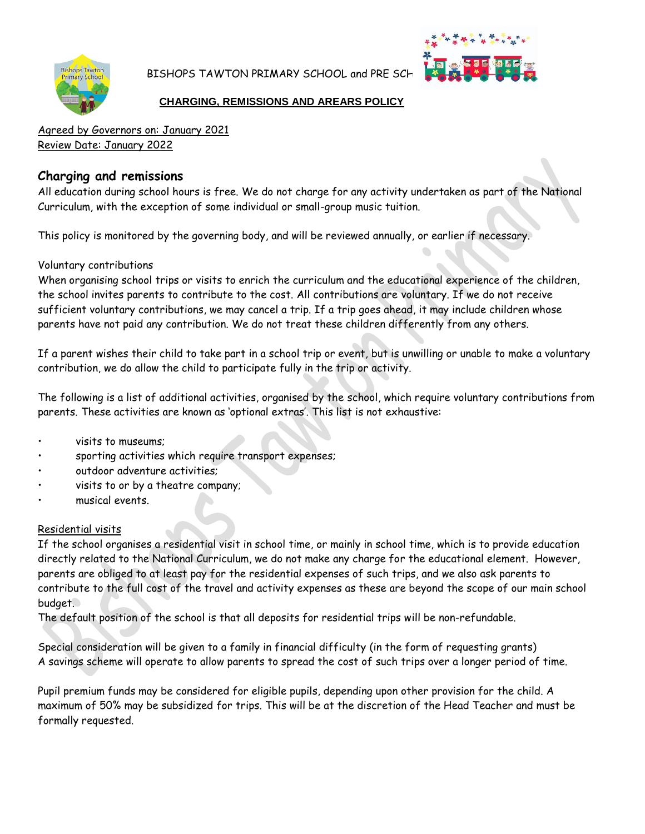

BISHOPS TAWTON PRIMARY SCHOOL and PRE SCH



#### **CHARGING, REMISSIONS AND AREARS POLICY**

Agreed by Governors on: January 2021 Review Date: January 2022

## **Charging and remissions**

All education during school hours is free. We do not charge for any activity undertaken as part of the National Curriculum, with the exception of some individual or small-group music tuition.

This policy is monitored by the governing body, and will be reviewed annually, or earlier if necessary.

## Voluntary contributions

When organising school trips or visits to enrich the curriculum and the educational experience of the children, the school invites parents to contribute to the cost. All contributions are voluntary. If we do not receive sufficient voluntary contributions, we may cancel a trip. If a trip goes ahead, it may include children whose parents have not paid any contribution. We do not treat these children differently from any others.

If a parent wishes their child to take part in a school trip or event, but is unwilling or unable to make a voluntary contribution, we do allow the child to participate fully in the trip or activity.

The following is a list of additional activities, organised by the school, which require voluntary contributions from parents. These activities are known as 'optional extras'. This list is not exhaustive:

- visits to museums;
- sporting activities which require transport expenses;
- outdoor adventure activities:
- visits to or by a theatre company;
- musical events.

## Residential visits

If the school organises a residential visit in school time, or mainly in school time, which is to provide education directly related to the National Curriculum, we do not make any charge for the educational element. However, parents are obliged to at least pay for the residential expenses of such trips, and we also ask parents to contribute to the full cost of the travel and activity expenses as these are beyond the scope of our main school budget.

The default position of the school is that all deposits for residential trips will be non-refundable.

Special consideration will be given to a family in financial difficulty (in the form of requesting grants) A savings scheme will operate to allow parents to spread the cost of such trips over a longer period of time.

Pupil premium funds may be considered for eligible pupils, depending upon other provision for the child. A maximum of 50% may be subsidized for trips. This will be at the discretion of the Head Teacher and must be formally requested.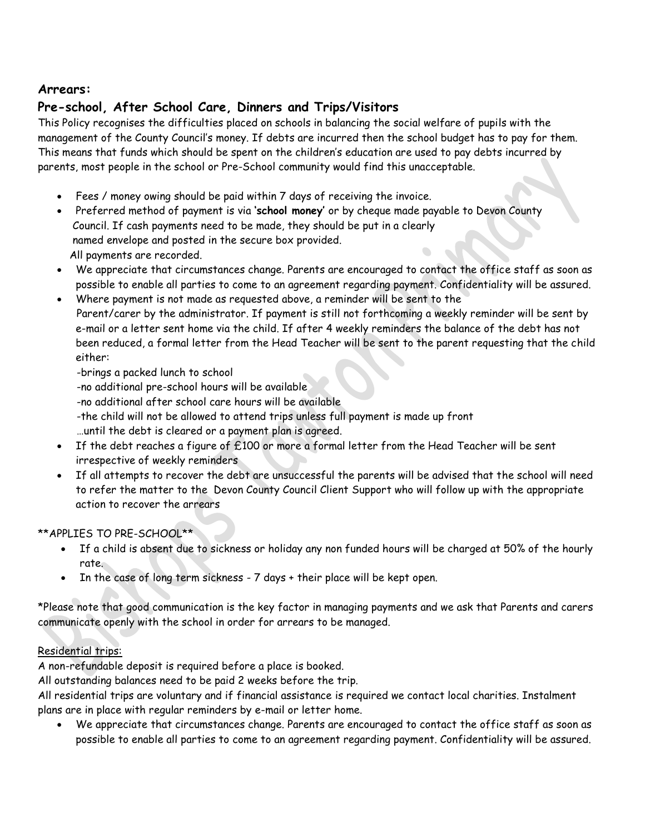## **Arrears:**

# **Pre-school, After School Care, Dinners and Trips/Visitors**

This Policy recognises the difficulties placed on schools in balancing the social welfare of pupils with the management of the County Council's money. If debts are incurred then the school budget has to pay for them. This means that funds which should be spent on the children's education are used to pay debts incurred by parents, most people in the school or Pre-School community would find this unacceptable.

- Fees / money owing should be paid within 7 days of receiving the invoice.
- Preferred method of payment is via **'school money'** or by cheque made payable to Devon County Council. If cash payments need to be made, they should be put in a clearly named envelope and posted in the secure box provided. All payments are recorded.
- We appreciate that circumstances change. Parents are encouraged to contact the office staff as soon as possible to enable all parties to come to an agreement regarding payment. Confidentiality will be assured.
- Where payment is not made as requested above, a reminder will be sent to the Parent/carer by the administrator. If payment is still not forthcoming a weekly reminder will be sent by e-mail or a letter sent home via the child. If after 4 weekly reminders the balance of the debt has not been reduced, a formal letter from the Head Teacher will be sent to the parent requesting that the child either:
	- -brings a packed lunch to school
	- -no additional pre-school hours will be available
	- -no additional after school care hours will be available
	- -the child will not be allowed to attend trips unless full payment is made up front …until the debt is cleared or a payment plan is agreed.
- If the debt reaches a figure of £100 or more a formal letter from the Head Teacher will be sent irrespective of weekly reminders
- If all attempts to recover the debt are unsuccessful the parents will be advised that the school will need to refer the matter to the Devon County Council Client Support who will follow up with the appropriate action to recover the arrears

## \*\*APPLIES TO PRE-SCHOOL\*\*

- If a child is absent due to sickness or holiday any non funded hours will be charged at 50% of the hourly rate.
- In the case of long term sickness 7 days + their place will be kept open.

\*Please note that good communication is the key factor in managing payments and we ask that Parents and carers communicate openly with the school in order for arrears to be managed.

## Residential trips:

A non-refundable deposit is required before a place is booked.

All outstanding balances need to be paid 2 weeks before the trip.

All residential trips are voluntary and if financial assistance is required we contact local charities. Instalment plans are in place with regular reminders by e-mail or letter home.

 We appreciate that circumstances change. Parents are encouraged to contact the office staff as soon as possible to enable all parties to come to an agreement regarding payment. Confidentiality will be assured.